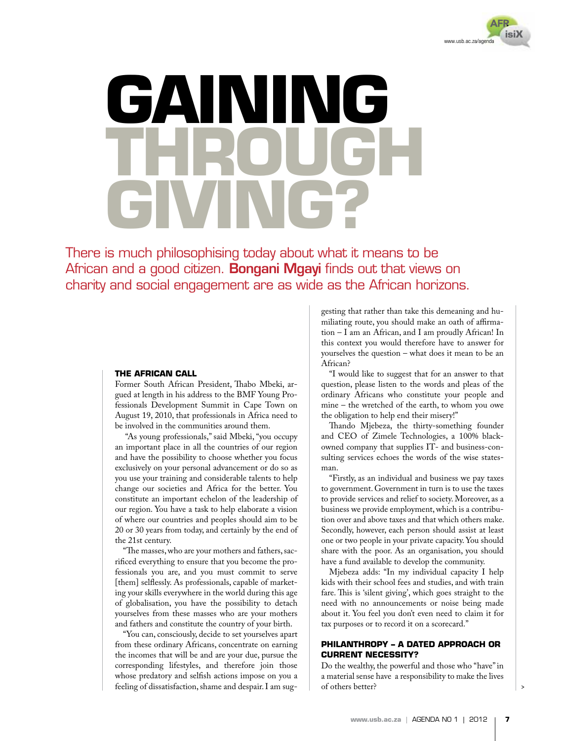

# INI N **gain through giving?**

There is much philosophising today about what it means to be African and a good citizen. **Bongani Mgayi** finds out that views on charity and social engagement are as wide as the African horizons.

### **The African call**

Former South African President, Thabo Mbeki, argued at length in his address to the BMF Young Professionals Development Summit in Cape Town on August 19, 2010, that professionals in Africa need to be involved in the communities around them.

 "As young professionals," said Mbeki, "you occupy an important place in all the countries of our region and have the possibility to choose whether you focus exclusively on your personal advancement or do so as you use your training and considerable talents to help change our societies and Africa for the better. You constitute an important echelon of the leadership of our region. You have a task to help elaborate a vision of where our countries and peoples should aim to be 20 or 30 years from today, and certainly by the end of the 21st century.

"The masses, who are your mothers and fathers, sacrificed everything to ensure that you become the professionals you are, and you must commit to serve [them] selflessly. As professionals, capable of marketing your skills everywhere in the world during this age of globalisation, you have the possibility to detach yourselves from these masses who are your mothers and fathers and constitute the country of your birth.

"You can, consciously, decide to set yourselves apart from these ordinary Africans, concentrate on earning the incomes that will be and are your due, pursue the corresponding lifestyles, and therefore join those whose predatory and selfish actions impose on you a feeling of dissatisfaction, shame and despair. I am sug-

gesting that rather than take this demeaning and humiliating route, you should make an oath of affirmation – I am an African, and I am proudly African! In this context you would therefore have to answer for yourselves the question – what does it mean to be an African?

"I would like to suggest that for an answer to that question, please listen to the words and pleas of the ordinary Africans who constitute your people and mine – the wretched of the earth, to whom you owe the obligation to help end their misery!"

Thando Mjebeza, the thirty-something founder and CEO of Zimele Technologies, a 100% blackowned company that supplies IT- and business-consulting services echoes the words of the wise statesman.

"Firstly, as an individual and business we pay taxes to government. Government in turn is to use the taxes to provide services and relief to society. Moreover, as a business we provide employment, which is a contribution over and above taxes and that which others make. Secondly, however, each person should assist at least one or two people in your private capacity. You should share with the poor. As an organisation, you should have a fund available to develop the community.

Mjebeza adds: "In my individual capacity I help kids with their school fees and studies, and with train fare. This is 'silent giving', which goes straight to the need with no announcements or noise being made about it. You feel you don't even need to claim it for tax purposes or to record it on a scorecard."

# **Philanthropy – a dated approach or current necessity?**

Do the wealthy, the powerful and those who "have" in a material sense have a responsibility to make the lives of others better?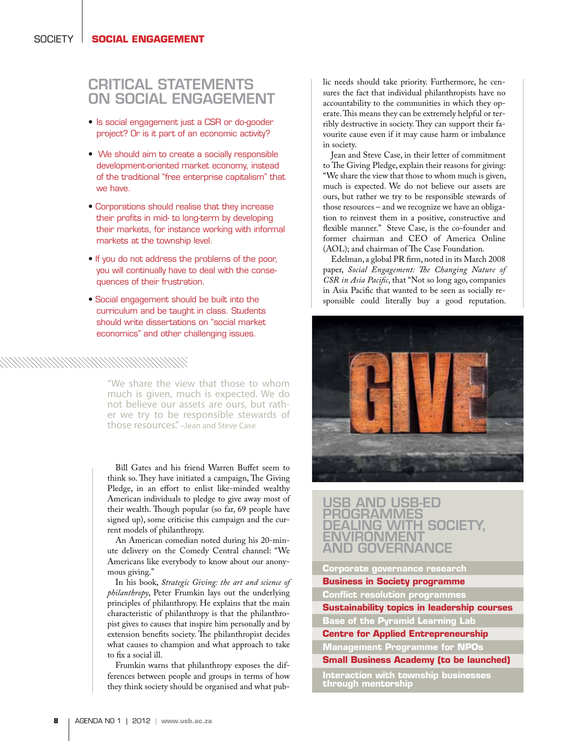# **CRITICAL STATEMENTS** on social engagement

- • Is social engagement just a CSR or do-gooder project? Or is it part of an economic activity?
- We should aim to create a socially responsible development-oriented market economy, instead of the traditional "free enterprise capitalism" that we have.
- Corporations should realise that they increase their profits in mid- to long-term by developing their markets, for instance working with informal markets at the township level.
- If you do not address the problems of the poor, you will continually have to deal with the consequences of their frustration.
- Social engagement should be built into the curriculum and be taught in class. Students should write dissertations on "social market economics" and other challenging issues.

"We share the view that those to whom much is given, much is expected. We do<br>not believe our assets are ours, but rather we try to be responsible stewards of those resources." –Jean and Steve Case

Bill Gates and his friend Warren Buffet seem to think so. They have initiated a campaign, The Giving Pledge, in an effort to enlist like-minded wealthy American individuals to pledge to give away most of their wealth. Though popular (so far, 69 people have signed up), some criticise this campaign and the current models of philanthropy.

An American comedian noted during his 20-minute delivery on the Comedy Central channel: "We Americans like everybody to know about our anonymous giving."

In his book, *Strategic Giving: the art and science of philanthropy*, Peter Frumkin lays out the underlying principles of philanthropy. He explains that the main characteristic of philanthropy is that the philanthropist gives to causes that inspire him personally and by extension benefits society. The philanthropist decides what causes to champion and what approach to take to fix a social ill.

Frumkin warns that philanthropy exposes the differences between people and groups in terms of how they think society should be organised and what public needs should take priority. Furthermore, he censures the fact that individual philanthropists have no accountability to the communities in which they operate. This means they can be extremely helpful or terribly destructive in society. They can support their favourite cause even if it may cause harm or imbalance in society.

Jean and Steve Case, in their letter of commitment to The Giving Pledge, explain their reasons for giving: "We share the view that those to whom much is given, much is expected. We do not believe our assets are ours, but rather we try to be responsible stewards of those resources – and we recognize we have an obligation to reinvest them in a positive, constructive and flexible manner." Steve Case, is the co-founder and former chairman and CEO of America Online (AOL); and chairman of The Case Foundation.

Edelman, a global PR firm, noted in its March 2008 paper, *Social Engagement: The Changing Nature of CSR in Asia Pacific*, that "Not so long ago, companies in Asia Pacific that wanted to be seen as socially responsible could literally buy a good reputation.



# USB and USB-ED programmes dealing with society, environment and governance

### **Corporate governance research**

**Business in Society programme** 

**Conflict resolution programmes**

**through mentorship**

**Sustainability topics in leadership courses Base of the Pyramid Learning Lab**

**Centre for Applied Entrepreneurship Management Programme for NPOs**

**Small Business Academy (to be launched) Interaction with township businesses**